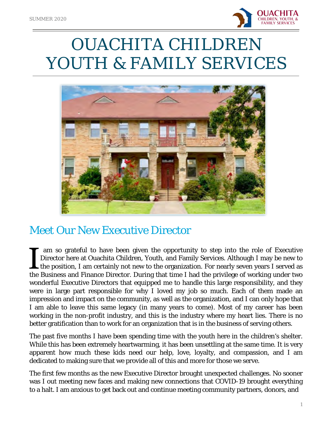

# OUACHITA CHILDREN YOUTH & FAMILY SERVICES



## Meet Our New Executive Director

I am so grateful to have been given the opportunity to step into the role of Executive<br>Director here at Ouachita Children, Youth, and Family Services. Although I may be new to<br>the position, I am certainly not new to the or am so grateful to have been given the opportunity to step into the role of Executive Director here at Ouachita Children, Youth, and Family Services. Although I may be new to  $\mathsf{\mathsf{L}}$  the position, I am certainly not new to the organization. For nearly seven years I served as wonderful Executive Directors that equipped me to handle this large responsibility, and they were in large part responsible for why I loved my job so much. Each of them made an impression and impact on the community, as well as the organization, and I can only hope that I am able to leave this same legacy (in many years to come). Most of my career has been working in the non-profit industry, and this is the industry where my heart lies. There is no better gratification than to work for an organization that is in the business of serving others.

The past five months I have been spending time with the youth here in the children's shelter. While this has been extremely heartwarming, it has been unsettling at the same time. It is very apparent how much these kids need our help, love, loyalty, and compassion, and I am dedicated to making sure that we provide all of this and more for those we serve.

The first few months as the new Executive Director brought unexpected challenges. No sooner was I out meeting new faces and making new connections that COVID-19 brought everything to a halt. I am anxious to get back out and continue meeting community partners, donors, and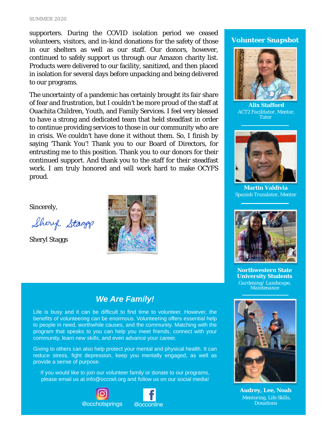#### SUMMER 2020

supporters. During the COVID isolation period we ceased volunteers, visitors, and in-kind donations for the safety of those in our shelters as well as our staff. Our donors, however, continued to safely support us through our Amazon charity list. Products were delivered to our facility, sanitized, and then placed in isolation for several days before unpacking and being delivered to our programs.

The uncertainty of a pandemic has certainly brought its fair share of fear and frustration, but I couldn't be more proud of the staff at Ouachita Children, Youth, and Family Services. I feel very blessed to have a strong and dedicated team that held steadfast in order to continue providing services to those in our community who are in crisis. We couldn't have done it without them. So, I finish by saying 'Thank You'! Thank you to our Board of Directors, for entrusting me to this position. Thank you to our donors for their continued support. And thank you to the staff for their steadfast work. I am truly honored and will work hard to make OCYFS proud.

Sincerely,

Shery Stagg

Sheryl Staggs



### *We Are Family!*

Life is busy and it can be difficult to find time to volunteer. However, the benefits of volunteering can be enormous. Volunteering offers essential help to people in need, worthwhile causes, and the community. Matching with the program that speaks to you can help you meet friends, connect with your community, learn new skills, and even advance your career.

Giving to others can also help protect your mental and physical health. It can reduce stress, fight depression, keep you mentally engaged, as well as provide a sense of purpose.

If you would like to join our volunteer family or donate to our programs, please email us at info@occnet.org and follow us on our social media!







**Alix Stafford**  *ACT2 Facilitator, Mentor, Tutor*



**Martin Valdivia**  *Spanish Translator, Mentor*



**Northwestern State University Students**  *Gardening/ Landscape, Maintenance*



**Audrey, Lee, Noah**  *Mentoring, Life Skills, Donations*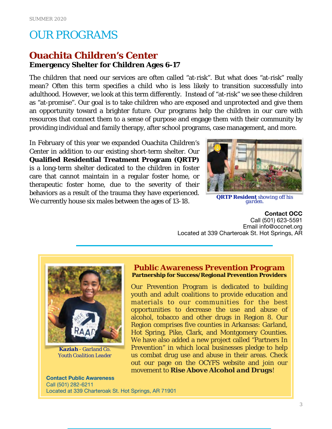## OUR PROGRAMS

## **Ouachita Children's Center**

**Emergency Shelter for Children Ages 6-17** 

The children that need our services are often called "at-risk". But what does "at-risk" really mean? Often this term specifies a child who is less likely to transition successfully into adulthood. However, we look at this term differently. Instead of "at-risk" we see these children as "at-promise". Our goal is to take children who are exposed and unprotected and give them an opportunity toward a brighter future. Our programs help the children in our care with resources that connect them to a sense of purpose and engage them with their community by providing individual and family therapy, after school programs, case management, and more.

In February of this year we expanded Ouachita Children's Center in addition to our existing short-term shelter. Our **Qualified Residential Treatment Program (QRTP)** is a long-term shelter dedicated to the children in foster care that cannot maintain in a regular foster home, or therapeutic foster home, due to the severity of their behaviors as a result of the trauma they have experienced. We currently house six males between the ages of 13-18.



*QRTP Resident showing off his garden.*

**Contact OCC**  Call (501) 623-5591 Email info@occnet.org Located at 339 Charteroak St. Hot Springs, AR



*Kaziah - Garland Co. Youth Coalition Leader*

#### **Public Awareness Prevention Program Partnership for Success/Regional Prevention Providers**

Our Prevention Program is dedicated to building youth and adult coalitions to provide education and materials to our communities for the best opportunities to decrease the use and abuse of alcohol, tobacco and other drugs in Region 8. Our Region comprises five counties in Arkansas: Garland, Hot Spring, Pike, Clark, and Montgomery Counties. We have also added a new project called "Partners In Prevention" in which local businesses pledge to help us combat drug use and abuse in their areas. Check out our page on the OCYFS website and join our movement to *Rise Above Alcohol and Drugs*!

**Contact Public Awareness** 

Call (501) 282-6211 Located at 339 Charteroak St. Hot Springs, AR 71901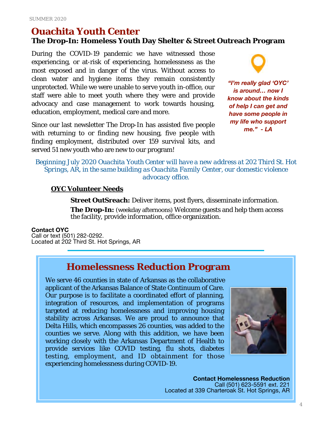## **Ouachita Youth Center**

**The Drop-In: Homeless Youth Day Shelter & Street Outreach Program**

During the COVID-19 pandemic we have witnessed those experiencing, or at-risk of experiencing, homelessness as the most exposed and in danger of the virus. Without access to clean water and hygiene items they remain consistently unprotected. While we were unable to serve youth in-office, our staff were able to meet youth where they were and provide advocacy and case management to work towards housing, education, employment, medical care and more.

Since our last newsletter The Drop-In has assisted five people with returning to or finding new housing, five people with finding employment, distributed over 159 survival kits, and served 51 new youth who are new to our program!

*"I'm really glad 'OYC' is around… now I know about the kinds of help I can get and have some people in* 

*my life who support me." - LA*

#### *Beginning July 2020 Ouachita Youth Center will have a new address at 202 Third St. Hot Springs, AR, in the same building as Ouachita Family Center, our domestic violence advocacy office.*

#### **OYC Volunteer Needs**

**Street OutSreach:** Deliver items, post flyers, disseminate information. **The Drop-In:** (weekday afternoons) Welcome guests and help them access the facility, provide information, office organization.

#### **Contact OYC**

Call or text (501) 282-0292. Located at 202 Third St. Hot Springs, AR

## **Homelessness Reduction Program**

We serve 46 counties in state of Arkansas as the collaborative applicant of the Arkansas Balance of State Continuum of Care. Our purpose is to facilitate a coordinated effort of planning, integration of resources, and implementation of programs targeted at reducing homelessness and improving housing stability across Arkansas. We are proud to announce that Delta Hills, which encompasses 26 counties, was added to the counties we serve. Along with this addition, we have been working closely with the Arkansas Department of Health to provide services like COVID testing, flu shots, diabetes testing, employment, and ID obtainment for those experiencing homelessness during COVID-19.



**Contact Homelessness Reduction**  Call (501) 623-5591 ext. 221 Located at 339 Charteroak St. Hot Springs, AR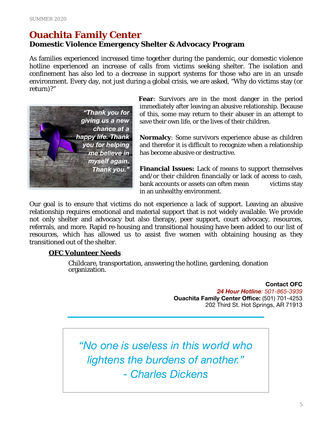## **Ouachita Family Center**

#### **Domestic Violence Emergency Shelter & Advocacy Program**

As families experienced increased time together during the pandemic, our domestic violence hotline experienced an increase of calls from victims seeking shelter. The isolation and confinement has also led to a decrease in support systems for those who are in an unsafe environment. Every day, not just during a global crisis, we are asked, "Why do victims stay (or return)?"



**Fear**: Survivors are in the most danger in the period immediately after leaving an abusive relationship. Because of this, some may return to their abuser in an attempt to save their own life, or the lives of their children.

**Normalcy**: Some survivors experience abuse as children and therefor it is difficult to recognize when a relationship has become abusive or destructive.

**Financial Issues:** Lack of means to support themselves and/or their children financially or lack of access to cash, bank accounts or assets can often mean victims stay in an unhealthy environment.

Our goal is to ensure that victims do not experience a lack of support. Leaving an abusive relationship requires emotional and material support that is not widely available. We provide not only shelter and advocacy but also therapy, peer support, court advocacy, resources, referrals, and more. Rapid re-housing and transitional housing have been added to our list of resources, which has allowed us to assist five women with obtaining housing as they transitioned out of the shelter.

#### **OFC Volunteer Needs**

Childcare, transportation, answering the hotline, gardening, donation organization.

> **Contact OFC**  *24 Hour Hotline: 501-865-3939*  **Ouachita Family Center Office:** (501) 701-4253 202 Third St. Hot Springs, AR 71913

*"No one is useless in this world who lightens the burdens of another." - Charles Dickens*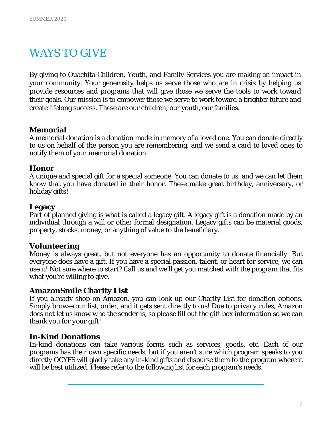## WAYS TO GIVE

By giving to Ouachita Children, Youth, and Family Services you are making an impact in your community. Your generosity helps us serve those who are in crisis by helping us provide resources and programs that will give those we serve the tools to work toward their goals. Our mission is to empower those we serve to work toward a brighter future and create lifelong success. These are our children, our youth, our families.

#### **Memorial**

A memorial donation is a donation made in memory of a loved one. You can donate directly to us on behalf of the person you are remembering, and we send a card to loved ones to notify them of your memorial donation.

#### **Honor**

A unique and special gift for a special someone. You can donate to us, and we can let them know that you have donated in their honor. These make great birthday, anniversary, or holiday gifts!

#### **Legacy**

Part of planned giving is what is called a legacy gift. A legacy gift is a donation made by an individual through a will or other formal designation. Legacy gifts can be material goods, property, stocks, money, or anything of value to the beneficiary.

#### **Volunteering**

Money is always great, but not everyone has an opportunity to donate financially. But everyone does have a gift. If you have a special passion, talent, or heart for service, we can use it! Not sure where to start? Call us and we'll get you matched with the program that fits what you're willing to give.

#### **AmazonSmile Charity List**

If you already shop on Amazon, you can look up our Charity List for donation options. Simply browse our list, order, and it gets sent directly to us! *Due to privacy rules, Amazon does not let us know who the sender is, so please fill out the gift box information so we can thank you for your gift!* 

#### **In-Kind Donations**

In-kind donations can take various forms such as services, goods, etc. Each of our programs has their own specific needs, but if you aren't sure which program speaks to you directly OCYFS will gladly take any in-kind gifts and disburse them to the program where it will be best utilized. Please refer to the following list for each program's needs.